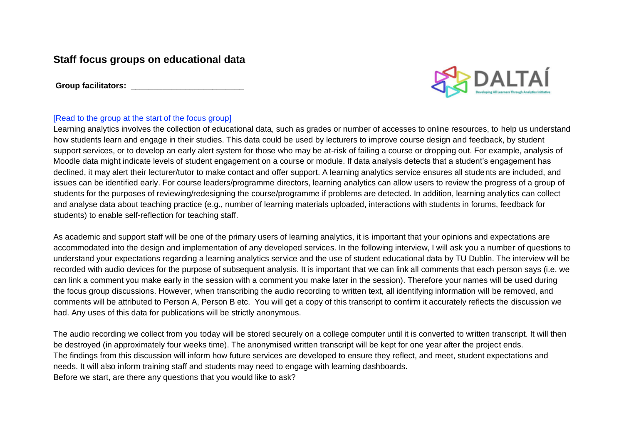## **Staff focus groups on educational data**

Group facilitators:



## [Read to the group at the start of the focus group]

Learning analytics involves the collection of educational data, such as grades or number of accesses to online resources, to help us understand how students learn and engage in their studies. This data could be used by lecturers to improve course design and feedback, by student support services, or to develop an early alert system for those who may be at-risk of failing a course or dropping out. For example, analysis of Moodle data might indicate levels of student engagement on a course or module. If data analysis detects that a student's engagement has declined, it may alert their lecturer/tutor to make contact and offer support. A learning analytics service ensures all students are included, and issues can be identified early. For course leaders/programme directors, learning analytics can allow users to review the progress of a group of students for the purposes of reviewing/redesigning the course/programme if problems are detected. In addition, learning analytics can collect and analyse data about teaching practice (e.g., number of learning materials uploaded, interactions with students in forums, feedback for students) to enable self-reflection for teaching staff.

As academic and support staff will be one of the primary users of learning analytics, it is important that your opinions and expectations are accommodated into the design and implementation of any developed services. In the following interview, I will ask you a number of questions to understand your expectations regarding a learning analytics service and the use of student educational data by TU Dublin. The interview will be recorded with audio devices for the purpose of subsequent analysis. It is important that we can link all comments that each person says (i.e. we can link a comment you make early in the session with a comment you make later in the session). Therefore your names will be used during the focus group discussions. However, when transcribing the audio recording to written text, all identifying information will be removed, and comments will be attributed to Person A, Person B etc. You will get a copy of this transcript to confirm it accurately reflects the discussion we had. Any uses of this data for publications will be strictly anonymous.

The audio recording we collect from you today will be stored securely on a college computer until it is converted to written transcript. It will then be destroyed (in approximately four weeks time). The anonymised written transcript will be kept for one year after the project ends. The findings from this discussion will inform how future services are developed to ensure they reflect, and meet, student expectations and needs. It will also inform training staff and students may need to engage with learning dashboards. Before we start, are there any questions that you would like to ask?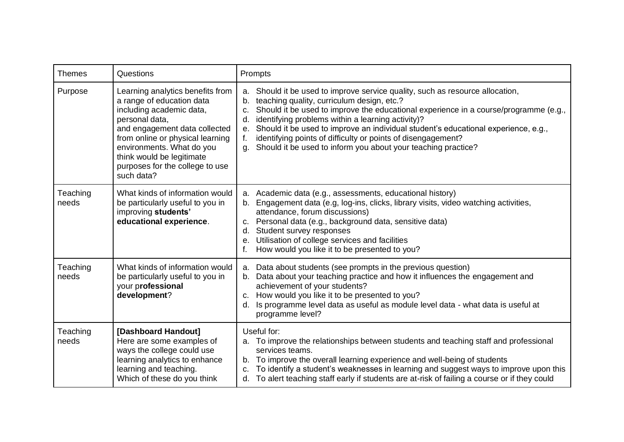| <b>Themes</b>     | Questions                                                                                                                                                                                                                                                                                   | Prompts                                                                                                                                                                                                                                                                                                                                                                                                                                                                                                                    |
|-------------------|---------------------------------------------------------------------------------------------------------------------------------------------------------------------------------------------------------------------------------------------------------------------------------------------|----------------------------------------------------------------------------------------------------------------------------------------------------------------------------------------------------------------------------------------------------------------------------------------------------------------------------------------------------------------------------------------------------------------------------------------------------------------------------------------------------------------------------|
| Purpose           | Learning analytics benefits from<br>a range of education data<br>including academic data,<br>personal data,<br>and engagement data collected<br>from online or physical learning<br>environments. What do you<br>think would be legitimate<br>purposes for the college to use<br>such data? | a. Should it be used to improve service quality, such as resource allocation,<br>b. teaching quality, curriculum design, etc.?<br>Should it be used to improve the educational experience in a course/programme (e.g.,<br>C.<br>identifying problems within a learning activity)?<br>d.<br>Should it be used to improve an individual student's educational experience, e.g.,<br>е.<br>identifying points of difficulty or points of disengagement?<br>Should it be used to inform you about your teaching practice?<br>α. |
| Teaching<br>needs | What kinds of information would<br>be particularly useful to you in<br>improving students'<br>educational experience.                                                                                                                                                                       | a. Academic data (e.g., assessments, educational history)<br>b. Engagement data (e.g, log-ins, clicks, library visits, video watching activities,<br>attendance, forum discussions)<br>c. Personal data (e.g., background data, sensitive data)<br>d. Student survey responses<br>e. Utilisation of college services and facilities<br>How would you like it to be presented to you?                                                                                                                                       |
| Teaching<br>needs | What kinds of information would<br>be particularly useful to you in<br>your professional<br>development?                                                                                                                                                                                    | a. Data about students (see prompts in the previous question)<br>b. Data about your teaching practice and how it influences the engagement and<br>achievement of your students?<br>c. How would you like it to be presented to you?<br>Is programme level data as useful as module level data - what data is useful at<br>d.<br>programme level?                                                                                                                                                                           |
| Teaching<br>needs | [Dashboard Handout]<br>Here are some examples of<br>ways the college could use<br>learning analytics to enhance<br>learning and teaching.<br>Which of these do you think                                                                                                                    | Useful for:<br>a. To improve the relationships between students and teaching staff and professional<br>services teams.<br>b. To improve the overall learning experience and well-being of students<br>To identify a student's weaknesses in learning and suggest ways to improve upon this<br>c.<br>d. To alert teaching staff early if students are at-risk of failing a course or if they could                                                                                                                          |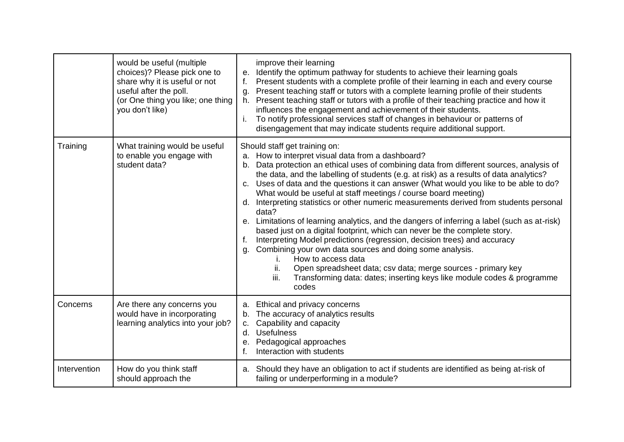|              | would be useful (multiple<br>choices)? Please pick one to<br>share why it is useful or not<br>useful after the poll.<br>(or One thing you like; one thing<br>you don't like) | improve their learning<br>e. Identify the optimum pathway for students to achieve their learning goals<br>Present students with a complete profile of their learning in each and every course<br>Present teaching staff or tutors with a complete learning profile of their students<br>g.<br>h. Present teaching staff or tutors with a profile of their teaching practice and how it<br>influences the engagement and achievement of their students.<br>To notify professional services staff of changes in behaviour or patterns of<br>disengagement that may indicate students require additional support.                                                                                                                                                                                                                                                                                                                                                                                                                                                                |
|--------------|------------------------------------------------------------------------------------------------------------------------------------------------------------------------------|-------------------------------------------------------------------------------------------------------------------------------------------------------------------------------------------------------------------------------------------------------------------------------------------------------------------------------------------------------------------------------------------------------------------------------------------------------------------------------------------------------------------------------------------------------------------------------------------------------------------------------------------------------------------------------------------------------------------------------------------------------------------------------------------------------------------------------------------------------------------------------------------------------------------------------------------------------------------------------------------------------------------------------------------------------------------------------|
| Training     | What training would be useful<br>to enable you engage with<br>student data?                                                                                                  | Should staff get training on:<br>a. How to interpret visual data from a dashboard?<br>b. Data protection an ethical uses of combining data from different sources, analysis of<br>the data, and the labelling of students (e.g. at risk) as a results of data analytics?<br>c. Uses of data and the questions it can answer (What would you like to be able to do?<br>What would be useful at staff meetings / course board meeting)<br>d. Interpreting statistics or other numeric measurements derived from students personal<br>data?<br>e. Limitations of learning analytics, and the dangers of inferring a label (such as at-risk)<br>based just on a digital footprint, which can never be the complete story.<br>Interpreting Model predictions (regression, decision trees) and accuracy<br>$f_{\cdot}$<br>g. Combining your own data sources and doing some analysis.<br>How to access data<br>Τ.<br>Open spreadsheet data; csv data; merge sources - primary key<br>ii.<br>iii.<br>Transforming data: dates; inserting keys like module codes & programme<br>codes |
| Concerns     | Are there any concerns you<br>would have in incorporating<br>learning analytics into your job?                                                                               | Ethical and privacy concerns<br>а.<br>The accuracy of analytics results<br>b.<br>Capability and capacity<br>C.<br>d. Usefulness<br>e. Pedagogical approaches<br>Interaction with students<br>$f_{\perp}$                                                                                                                                                                                                                                                                                                                                                                                                                                                                                                                                                                                                                                                                                                                                                                                                                                                                      |
| Intervention | How do you think staff<br>should approach the                                                                                                                                | a. Should they have an obligation to act if students are identified as being at-risk of<br>failing or underperforming in a module?                                                                                                                                                                                                                                                                                                                                                                                                                                                                                                                                                                                                                                                                                                                                                                                                                                                                                                                                            |